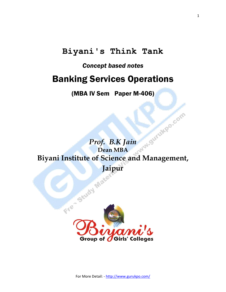# **Biyani's Think Tank**

### *Concept based notes*

# Banking Services Operations

(MBA IV Sem Paper M-406)

Prof. B.K Jain M<sup>ont Offen</sup> Dean MBA **Dean MBA Biyani Institute of Science and Management,** 

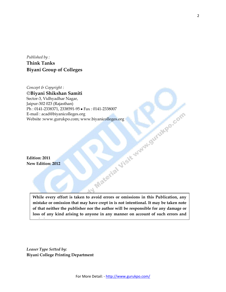*Published by :* **Think Tanks Biyani Group of Colleges**

*Concept & Copyright :* **Biyani Shikshan Samiti** Sector-3, Vidhyadhar Nagar, Jaipur-302 023 (Rajasthan) Ph : 0141-2338371, 2338591-95 • Fax : 0141-2338007<br>
E-mail : acad@biyanicolleges.org<br>
Website :www.gurukpo.com; www.biyanicolleges.org<br>
Website :www.gurukpo.com; www.biyanicolleges.org<br>
Edition: 2011<br>
New Edition: 2012 E-mail : acad@biyanicolleges.org Website :www.gurukpo.com; www.biyanicolleges.org

**Edition: 2011 New Edition: 2012**

**omissions.**

**While every effort is taken to avoid errors or omissions in this Publication, any mistake or omission that may have crept in is not intentional. It may be taken note of that neither the publisher nor the author will be responsible for any damage or loss of any kind arising to anyone in any manner on account of such errors and** 

 $\aleph$ 

*Leaser Type Setted by:* **Biyani College Printing Department**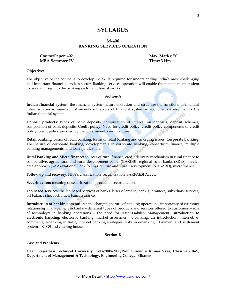#### **SYLLABUS**

#### **M-406 BANKING SERVICES OPERATION**

Course/Paper: 402 **Max. Marks: 70 MBA Semester-IV** Time: 3 Hrs.

#### **Objective:**

The objective of the course is to develop the skills required for understanding India"s most challenging and important financial services sector. Banking services operation will enable the management student to have an insight to the banking sector and how it works.

#### **Section-A**

**Indian financial system:** the financial system-nature-evolution and structure-the functions of financial intermediaries – financial instruments – the role of financial system in economic development – the Indian financial system.

**Deposit products:** types of bank deposits, computation of interest on deposits, deposit schemes, composition of bank deposits. **Credit policy**: Need for credit policy, credit policy components of credit policy, credit policy pursued by the government, credit culture.

**Retail banking:** basics of retail banking, forms of retail banking and emerging issues. **Corporate banking**: The nature of corporate banking, developments in corporate banking, consortium finance, multiple banking managements, and loan syndication.

**Rural banking and Micro finance:** sources of rural finance, credit delivery mechanism in rural finance to co-operative, agricultural and rural development banks (CARDB)- regional rural banks (RRBS), service area approach (SAA)-National Bank for Agriculture and Rural Development (NABARD), microfinance.

Follow up and recovery: NPA's classification, securitization, SARFAESI Act etc.

**Securitization:** meaning of securitization, process of securitization.

**Fee-based services:** the fee-based services of banks, letter of credits, bank guarantees, subsidiary services, off balance sheet activities, bancassurance.

**Introduction of banking operations:** the changing nature of banking operations, importance of customer relationship management in banks – different types of products and services offered to customers – role of technology in banking operations – the need for Asset-Liability Management. **Introduction to electronic banking:** electronic banking: market assessment, e-banking: an introduction, internet: ecommerce, e-banking in India, internet banking strategies, risks in e-banking. : Payment and settlement systems, RTGS and clearing house:

#### **Section-B**

#### **Case and Problems**

**Dean, Rajasthan Technical University, Kota/2008-2009/Prof. Surendra Kumar Vyas, Chairman BoS, Department of Management & Technology, Engineering College, Bikaner**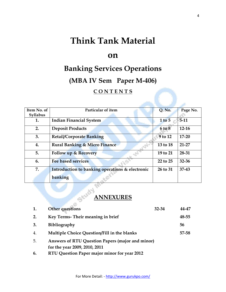# **Think Tank Material**

## **on**

# **Banking Services Operations**

# **(MBA IV Sem Paper M-406)**

#### **C O N T E N T S**

| Item No. of | Particular of item                              | Q. No.     | Page No.  |
|-------------|-------------------------------------------------|------------|-----------|
| Syllabus    |                                                 |            |           |
| 1.          | <b>Indian Financial System</b>                  | $1$ to $5$ | $5-11$    |
| 2.          | <b>Deposit Products</b>                         | 6 to 8     | $12-16$   |
| 3.          | <b>Retail/Corporate Banking</b>                 | 9 to 12    | $17 - 20$ |
| 4.          | <b>Rural Banking &amp; Micro Finance</b>        | 13 to 18   | $21 - 27$ |
| 5.          | <b>Follow up &amp; Recovery</b>                 | 19 to 21   | 28-31     |
| 6.          | <b>Fee based services</b>                       | 22 to 25   | $32 - 36$ |
| 7.          | Introduction to banking operations & electronic | 26 to 31   | $37 - 43$ |
|             | banking                                         |            |           |

# **ANNEXURES**

| 1. | Other questions                                                                          | $32 - 34$ | 44-47 |
|----|------------------------------------------------------------------------------------------|-----------|-------|
| 2. | Key Terms- Their meaning in brief                                                        |           | 48-55 |
| 3. | <b>Bibliography</b>                                                                      |           | 56    |
| 4. | Multiple Choice Question/Fill in the blanks                                              |           | 57-58 |
| 5. | <b>Answers of RTU Question Papers (major and minor)</b><br>for the year 2009, 2010, 2011 |           |       |
| 6. | RTU Question Paper major minor for year 2012                                             |           |       |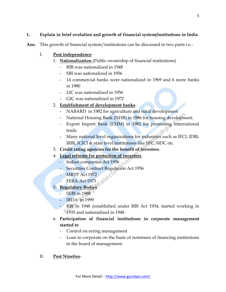#### **1. Explain in brief evolution and growth of financial system/institutions in India**

**Ans.** This growth of financial system/institutions can be discussed in two parts i.e.-

#### I. **Post independence**-

- 1. **Nationalization** (Public ownership of financial institutions)
	- RBI was nationalized in 1948
	- SBI was nationalized in 1956
	- 14 commercial banks were nationalized in 1969 and 6 more banks in 1980
	- LIC was nationalized in 1956
	- GIC was nationalized in 1972

#### 2. **Establishment of development banks**-

- NABARD in 1982 for agriculture and rural development
- National Housing Bank (NHB) in 1986 for housing development.
- Export Import Bank (EXIM) in 1982 for promoting international trade.
- Many national level organizations for industries such as IFCI, IDBI, IRBI, ICICI & state level institutions like SFC, SIDC etc.
- 3. **Credit rating agencies for the benefit of investors**.
- 4. **Legal reforms for protection of investors**.
	- Indian companies Act 1956
		- Securities Contract Regulation Act 1956
		- **MRTP Act 1972**
		- **FERA Act 1973**

#### 5. **Regulatory Bodies**

- SEBI in 1988
- IRDA in 1999
	- RBI in 1948 (established under RBI Act 1934, started working in 1935 and nationalized in 1948
- 6. **Participation of financial institutions in corporate management started to**
	- Control on erring management
	- Loan to corporate on the basis of nominees of financing institutions in the board of management.

#### II. **Post Nineties**-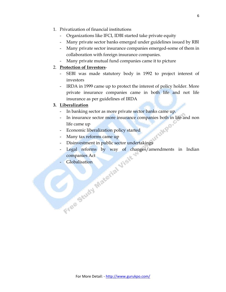- 1. Privatization of financial institutions
	- Organizations like IFCI, IDBI started take private equity
	- Many private sector banks emerged under guidelines issued by RBI
	- Many private sector insurance companies emerged-some of them in collaboration with foreign insurance companies.
	- Many private mutual fund companies came it to picture

#### 2. **Protection of Investors**-

- SEBI was made statutory body in 1992 to project interest of investors
- IRDA in 1999 came up to protect the interest of policy holder. More private insurance companies came in both life and not life insurance as per guidelines of IRDA

#### **3. Liberalization**

- In banking sector as more private sector banks came up.
- In insurance sector more insurance companies both in life and non life came up
- Economic liberalization policy started
- Many tax reforms came up
- Disinvestment in public sector undertakings
- Legal reforms by way of changes/amendments in Indian companies Act The Gludy Material Visit.
	-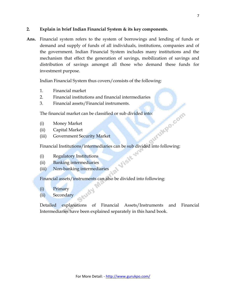#### **2. Explain in brief Indian Financial System & its key components.**

**Ans.** Financial system refers to the system of borrowings and lending of funds or demand and supply of funds of all individuals, institutions, companies and of the government. Indian Financial System includes many institutions and the mechanism that effect the generation of savings, mobilization of savings and distribution of savings amongst all those who demand these funds for investment purpose.

Indian Financial System thus covers/consists of the following:

- 1. Financial market
- 2. Financial institutions and financial intermediaries
- 3. Financial assets/Financial instruments.

The financial market can be classified or sub divided into:<br>
(i) Money Market<br>
(ii) Capital Market<br>
(iii) Government Security

- (i) Money Market
- (ii) Capital Market
- (iii) Government Security Market

Financial Institutions/intermediaries can be sub divided into following:<br>
(i) Regulatory Institutions<br>
(ii) Banking intermediaries<br>
(iii) Nor 1

- (i) Regulatory Institutions
- (ii) Banking intermediaries
- (iii) Non-banking intermediaries

Financial assets/instruments can also be divided into following:

- (i) Primary
- (ii) Secondary

Detailed explanations of Financial Assets/Instruments and Financial Intermediaries have been explained separately in this hand book.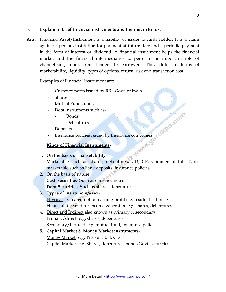#### 3. **Explain in brief financial instruments and their main kinds.**

**Ans.** Financial Asset/Instrument is a liability of issuer towards holder. It is a claim against a person/institution for payment at future date and a periodic payment in the form of interest or dividend. A financial instrument helps the financial market and the financial intermediaries to perform the important role of channelizing funds from lenders to borrowers. They differ in terms of marketability, liquidity, types of options, return, risk and transaction cost.

Examples of Financial Instrument are:

- Currency notes issued by RBI, Govt. of India.
- **Shares**
- Mutual Funds units
- Debt Instruments such as-
	- Bonds
	- Debentures
- Deposits
- Insurance policies issued by Insurance companies

#### **Kinds of Financial Instruments**-

#### 1. **On the basis of marketability**-

Marketable such as shares, debentures, CD, CP, Commercial Bills Nonmarketable such as Bank deposits, insurance policies.

- 2. On the basis of nature **Cash securities**- Such as currency notes **Debt Securities**- Such as shares, debentures
- 3. **Types of instrument/asset**-

Physical – Created not for earning profit e.g. residential house Financial- Created for income generation e.g. shares, debentures.

4. Direct and Indirect also known as primary & secondary Primary/direct- e.g. shares, debentures Secondary/Indirect- e.g. mutual fund, insurance policies

#### 5. **Capital Market & Money Market instruments**-

Money Market- e.g. Treasury bill, CD Capital Market- e.g. Shares, debentures, bonds Govt. securities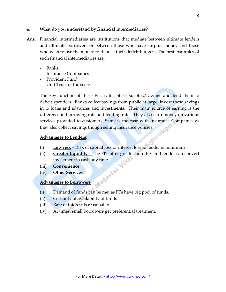#### **4. What do you understand by financial intermediaries?**

- **Ans.** Financial intermediaries are institutions that mediate between ultimate lenders and ultimate borrowers or between those who have surplus money and those who wish to use the money to finance their deficit budgets. The best examples of such financial intermediaries are:
	- Banks
	- Insurance Companies
	- Provident Fund
	- Unit Trust of India etc.

The key function of these FI"s is to collect surplus/savings and lend them to deficit spenders. Banks collect savings from public at large; invest these savings in to loans and advances and investments. Their main source of earning is the difference in borrowing rate and lending rate. They also earn money on various services provided to customers. Same is the case with Insurance Companies as they also collect savings though selling insurance policies.<br>Advantages to Lenders:

#### **Advantages to Lenders**:

- (i) **Low risk** Risk of capital loss or interest loss to lender is minimum
- (ii) **Greater liquidity –** The FI's offer greater liquidity and lender can convert<br>investment in cash any time.<br>(iii) **Convenience**<br>(iv) **Other Services** investment in cash any time.
- (iii) **Convenience**
- (iv) **Other Services**

#### **Advantages to Borrowers**

- (i) Demand of funds can be met as FI"s have big pool of funds.
- (ii) Certainty of availability of funds
- (iii) Rate of interest is reasonable.
- (iv) At times, small borrowers get preferential treatment.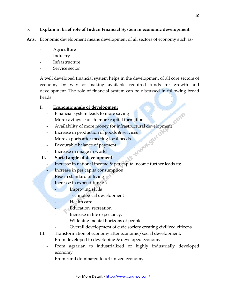#### 5. **Explain in brief role of Indian Financial System in economic development.**

**Ans.** Economic development means development of all sectors of economy such as-

- **Agriculture**
- Industry
- Infrastructure
- Service sector

A well developed financial system helps in the development of all core sectors of economy by way of making available required funds for growth and development. The role of financial system can be discussed in following broad heads.

#### **I. Economic angle of development**

- Financial system leads to more saving
- More savings leads to more capital formation
- Availability of more money for infrastructural development
- Increase in production of goods & services - More exports after meeting local needs<br>- Favourable balance of payment<br>- Increase in image in world<br>Social angle of
- 
- Favourable balance of payment
- Increase in image in world

#### **II. Social angle of development**

- Increase in national income & per capita income further leads to:
- Increase in per capita consumption
- Rise in standard of living
- Increase in expenditure on
	- Improving skills
	- Technological development
	- Health care
		- Education, recreation
		- Increase in life expectancy.
	- Widening mental horizons of people
		- Overall development of civic society creating civilized citizens
- III. Transformation of economy after economic/social development.
	- From developed to developing & developed economy
	- From agrarian to industrialized or highly industrially developed economy
	- From rural dominated to urbanized economy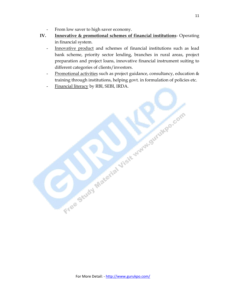- From low saver to high saver economy.
- **IV. Innovative & promotional schemes of financial institutions** Operating in financial system.
	- Innovative product and schemes of financial institutions such as lead bank scheme, priority sector lending, branches in rural areas, project preparation and project loans, innovative financial instrument suiting to different categories of clients/investors.
	- Promotional activities such as project guidance, consultancy, education & training through institutions, helping govt. in formulation of policies etc.

Free Study Material Visit www.gurukko.com

Financial literacy by RBI, SEBI, IRDA.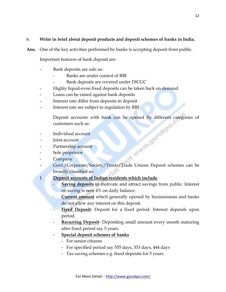#### 6. **Write in brief about deposit products and deposit schemes of banks in India.**

**Ans.** One of the key activities performed by banks is accepting deposit from public.

Important features of bank deposit are-

- Bank deposits are safe as-
	- Banks are under control of RBI
	- Bank deposits are covered under DICGC
- Highly liquid-even fixed deposits can be taken back on demand.
- Loans can be raised against bank deposits
- Interest rate differ from deposits to deposit
- Interest rate are subject to regulation by RBI

Deposit accounts with bank can be opened by different categories of<br>customers such as-<br>Individual account<br>Joint account<br>Partnership account<br>Sole proprietor<br>Comme customers such as-

- Individual account
- Joint account
- Partnership account
- Sole proprietor
- **Company**
- Govt./Corporate/Society/Trusts/Trade Unions Deposit schemes can be broadly classified as-
- 
- I. **Deposit accounts of Indian residents which include**.
	- **Saving deposits** to motivate and attract savings from public. Interest on saving is now 4% on daily balance.
	- **Current amount** which generally opened by businessman and banks do not allow any interest on this deposit.
	- Fixed Deposit- Deposit for a fixed period. Interest depends upon period.
	- **Recurring Deposit-** Depositing small amount every month maturing after fixed period say 5 years.
	- **Special deposit schemes of banks**
		- For senior citizens
		- For specified period say 555 days, 333 days, 444 days
		- Tax saving schemes e.g. fixed deposits for 5 years.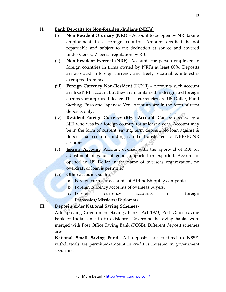#### **II. Bank Deposits for Non-Resident-Indians (NRI's)**

- (i) **Non Resident Ordinary (NRO**  Account to be open by NRI taking employment in a foreign country. Amount credited is not repatriable and subject to tax deduction at source and covered under General/special regulation by RBI.
- (ii) **Non-Resident External (NRE)** Accounts for person employed in foreign countries in firms owned by NRI"s at least 60%. Deposits are accepted in foreign currency and freely repatriable, interest is exempted from tax.
- (iii) **Foreign Currency Non-Resident** (FCNR) Accounts such account are like NRE account but they are maintained in designated foreign currency at approved dealer. These currencies are US Dollar, Pond Sterling, Euro and Japanese Yen. Accounts are in the form of term deposits only.
- (iv) **Resident Foreign Currency (RFC) Account** Can be opened by a NRI who was in a foreign country for at least a year. Account may be in the form of current, saving, term deposit. No loan against & deposit balance outstanding can be transferred to NRE/FCNR accounts.
- (v) **Escrow Account** Account opened with the approval of RBI for adjustment of value of goods imported or exported. Account is opened in US Dollar in the name of overseas organization, no overdraft or loan is permitted.
- (vi) **Other accounts such as**
	- a. Foreign currency accounts of Airline Shipping companies.
	- b. Foreign currency accounts of overseas buyers.
	- c. Foreign currency accounts of foreign Embassies/Missions/Diplomats.

#### III. **Deposits order National Saving Schemes**-

After passing Government Savings Banks Act 1973, Post Office saving bank of India came in to existence. Governments saving banks were merged with Post Office Saving Bank (POSB). Different deposit schemes are-

National Small Saving Fund- All deposits are credited to NSSFwithdrawals are permitted-amount in credit is invested in government securities.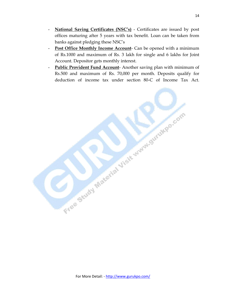- **National Saving Certificates (NSC's)** Certificates are issued by post offices maturing after 5 years with tax benefit. Loan can be taken from banks against pledging these NSC"s
- **Post Office Monthly Income Account** Can be opened with a minimum of Rs.1000 and maximum of Rs. 3 lakh for single and 6 lakhs for Joint Account. Depositor gets monthly interest.
- **Public Provident Fund Account** Another saving plan with minimum of Rs.500 and maximum of Rs. 70,000 per month. Deposits qualify for deduction of income tax under section 80-C of Income Tax Act.

Free Study Material Visit June Strategic com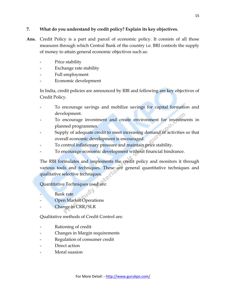#### **7. What do you understand by credit policy? Explain its key objectives.**

- **Ans.** Credit Policy is a part and parcel of economic policy. It consists of all those measures through which Central Bank of the country i.e. BRI controls the supply of money to attain general economic objectives such as:
	- Price stability
	- Exchange rate stability
	- Full employment
	- Economic development

In India, credit policies are announced by RBI and following are key objectives of Credit Policy.

- To encourage savings and mobilize savings for capital formation and development.
- To encourage investment and create environment for investments in planned programmes.
- Supply of adequate credit to meet increasing demand of activities so that overall economic development is encouraged.
- To control inflationary pressure and maintain price stability.
- To encourage economic development without financial hindrance.

The RBI formulates and implements the credit policy and monitors it through various tools and techniques. These are general quantitative techniques and qualitative selective techniques.

Quantitative Techniques used are:

- Bank rate
- Open Market Operations
- Change in CRR/SLR

Qualitative methods of Credit Control are:

- Rationing of credit
- Changes in Margin requirements
- Regulation of consumer credit
- Direct action
- Moral suasion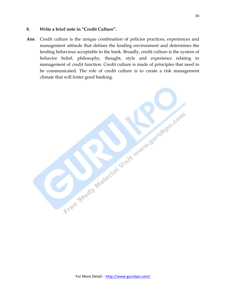#### **8. Write a brief note in "Credit Culture".**

**Ans**. Credit culture is the unique combination of policies practices, experiences and management attitude that defines the lending environment and determines the lending behaviour acceptable to the bank. Broadly, credit culture is the system of behavior belief, philosophy, thought, style and experience relating to management of credit function. Credit culture is made of principles that need to be communicated. The role of credit culture is to create a risk management climate that will foster good banking.

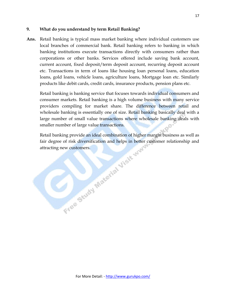#### **9. What do you understand by term Retail Banking?**

**Ans.** Retail banking is typical mass market banking where individual customers use local branches of commercial bank. Retail banking refers to banking in which banking institutions execute transactions directly with consumers rather than corporations or other banks. Services offered include saving bank account, current account, fixed deposit/term deposit account, recurring deposit account etc. Transactions in term of loans like housing loan personal loans, education loans, gold loans, vehicle loans, agriculture loans, Mortgage loan etc. Similarly products like debit cards, credit cards, insurance products, pension plans etc.

Retail banking is banking service that focuses towards individual consumers and consumer markets. Retail banking is a high volume business with many service providers compiling for market share. The difference between retail and wholesale banking is essentially one of size. Retail banking basically deal with a large number of small value transactions where wholesale banking deals with smaller number of large value transactions.

Retail banking provide an ideal combination of higher margin business as well as fair degree of risk diversification and helps in better customer relationship and attracting new customers. fair degree of risk diversification and helps in better customer relationship and attracting new customers.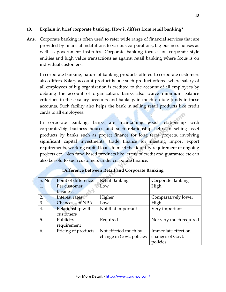#### **10. Explain in brief corporate banking. How it differs from retail banking?**

**Ans.** Corporate banking is often used to refer wide range of financial services that are provided by financial institutions to various corporations, big business houses as well as government institutes. Corporate banking focuses on corporate style entities and high value transactions as against retail banking where focus is on individual customers.

In corporate banking, nature of banking products offered to corporate customers also differs. Salary account product is one such product offered where salary of all employees of big organization is credited to the account of all employees by debiting the account of organization. Banks also waive minimum balance criterions in these salary accounts and banks gain much on idle funds in these accounts. Such facility also helps the bank in selling retail products like credit cards to all employees.

In corporate banking, banks are maintaining good relationship with corporate/big business houses and such relationship helps in selling asset products by banks such as project finance for long term projects, involving significant capital investments, trade finance for meeting import export requirements, working capital loans to meet the liquidity requirement of ongoing projects etc. Non fund based products like letters of credit and guarantee etc can also be sold to such customers under corporate finance.

| S. No. | Point of difference | <b>Retail Banking</b>    | Corporate Banking      |
|--------|---------------------|--------------------------|------------------------|
| 1.     | Per customer        | Low                      | High                   |
|        | business            |                          |                        |
| 2.     | Interest rates      | Higher                   | Comparatively lower    |
| 3.     | Chances of NPA      | Low                      | High                   |
| 4.     | Relationship with   | Not that important       | Very important         |
|        | customers           |                          |                        |
| 5.     | Publicity           | Required                 | Not very much required |
|        | requirement         |                          |                        |
| 6.     | Pricing of products | Not effected much by     | Immediate effect on    |
|        |                     | change in Govt. policies | changes of Govt.       |
|        |                     |                          | policies               |

#### **Difference between Retail and Corporate Banking**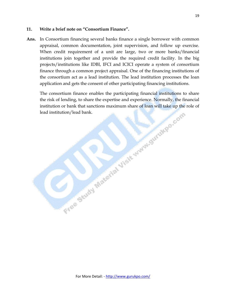#### **11. Write a brief note on "Consortium Finance".**

**Ans.** In Consortium financing several banks finance a single borrower with common appraisal, common documentation, joint supervision, and follow up exercise. When credit requirement of a unit are large, two or more banks/financial institutions join together and provide the required credit facility. In the big projects/institutions like IDBI, IFCI and ICICI operate a system of consortium finance through a common project appraisal. One of the financing institutions of the consortium act as a lead institution. The lead institution processes the loan application and gets the consent of other participating financing institutions.

The consortium finance enables the participating financial institutions to share the risk of lending, to share the expertise and experience. Normally, the financial institution or bank that sanctions maximum share of loan will take up the role of lead institution/lead bank. institution or bank that sanctions maximum share of loan will take up the role of lead institution/lead bank.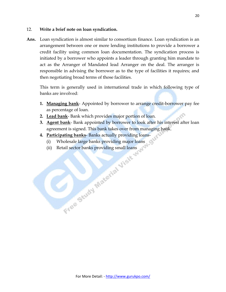#### 12. **Write a brief note on loan syndication.**

**Ans.** Loan syndication is almost similar to consortium finance. Loan syndication is an arrangement between one or more lending institutions to provide a borrower a credit facility using common loan documentation. The syndication process is initiated by a borrower who appoints a leader through granting him mandate to act as the Arranger of Mandated lead Arranger on the deal. The arranger is responsible in advising the borrower as to the type of facilities it requires; and then negotiating broad terms of those facilities.

This term is generally used in international trade in which following type of banks are involved:

- **1. Managing bank** Appointed by borrower to arrange credit-borrower pay fee as percentage of loan.
- **2. Lead bank** Bank which provides major portion of loan.
- **3. Agent bank** Bank appointed by borrower to look after his interest after loan agreement is signed. This bank takes over from managing bank.
- **4. Participating banks** Banks actually providing loans-
	- (i) Wholesale large banks providing major loans
	- (ii) Retail sector banks providing small loans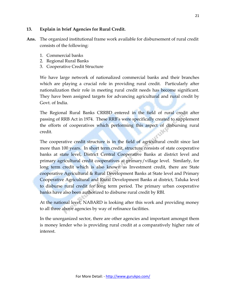#### **13. Explain in brief Agencies for Rural Credit.**

**Ans.** The organized institutional frame work available for disbursement of rural credit consists of the following:

- 1. Commercial banks
- 2. Regional Rural Banks
- 3. Cooperative Credit Structure

We have large network of nationalized commercial banks and their branches which are playing a crucial role in providing rural credit. Particularly after nationalization their role in meeting rural credit needs has become significant. They have been assigned targets for advancing agricultural and rural credit by Govt. of India.

The Regional Rural Banks CRRBD entered in the field of rural credit after passing of RRB Act in 1974. These RRB"s were specifically created to supplement the efforts of cooperatives which performing this aspect of disbursing rural credit.

The cooperative credit structure is in the field of agricultural credit since last more than 100 years. In short term credit, structure consists of state cooperative banks at state level, District Central Cooperative Banks at district level and primary agricultural credit cooperatives at primary/village level. Similarly, for long term credit which is also known as Investment credit, there are State cooperative Agricultural & Rural Development Banks at State level and Primary Cooperative Agricultural and Rural Development Banks at district, Taluka level to disburse rural credit for long term period. The primary urban cooperative banks have also been authorized to disburse rural credit by RBI.

At the national level, NABARD is looking after this work and providing money to all three above agencies by way of refinance facilities.

In the unorganized sector, there are other agencies and important amongst them is money lender who is providing rural credit at a comparatively higher rate of interest.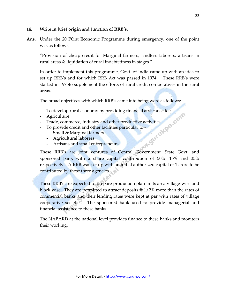#### **14. Write in brief origin and function of RRB's.**

**Ans.** Under the 20 P0int Economic Programme during emergency, one of the point was as follows:

"Provision of cheap credit for Marginal farmers, landless laborers, artisans in rural areas & liquidation of rural indebtedness in stages "

In order to implement this programme, Govt. of India came up with an idea to set up RRB"s and for which RRB Act was passed in 1974. These RRB"s were started in 1975to supplement the efforts of rural credit co-operatives in the rural areas.

The broad objectives with which RRB"s came into being were as follows:

- 
- **-** Agriculture
- **-** Trade, commerce, industry and other productive activities.
- **-** To provide credit and other facilities particular to
	- **-** Small & Marginal farmers
	- **-** Agricultural laborers
	- **-** Artisans and small entrepreneurs.

To develop rural economy by providing financial assistance to :<br> **-** Agriculture<br> **-** Trade, commerce, industry and other productive activities.<br> **-** To provide credit and other facilities particular to -<br> **-** Small & Marg These RRB's are joint ventures of Central Government, State Govt. and sponsored bank with a share capital contribution of 50%, 15% and 35% respectively. A RRB was set up with an initial authorized capital of 1 crore to be contributed by these three agencies.

These RRB's are expected to prepare production plan in its area village-wise and block wise. They are permitted to attract deposits @ 1/2% more than the rates of commercial banks and their lending rates were kept at par with rates of village cooperative societies. The sponsored bank used to provide managerial and financial assistance to these banks.

The NABARD at the national level provides finance to these banks and monitors their working.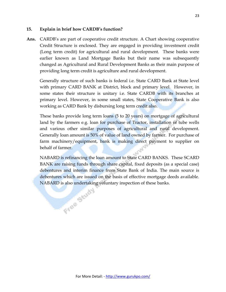#### **15. Explain in brief how CARDB's function?**

Ans. CARDB's are part of cooperative credit structure. A Chart showing cooperative Credit Structure is enclosed. They are engaged in providing investment credit (Long term credit) for agricultural and rural development. These banks were earlier known as Land Mortgage Banks but their name was subsequently changed as Agricultural and Rural Development Banks as their main purpose of providing long term credit is agriculture and rural development.

Generally structure of such banks is federal i.e. State CARD Bank at State level with primary CARD BANK at District, block and primary level. However, in some states their structure is unitary i.e. State CARDB with its branches at primary level. However, in some small states, State Cooperative Bank is also working as CARD Bank by disbursing long term credit also.

These banks provide long term loans (5 to 20 years) on mortgage of agricultural land by the farmers e.g. loan for purchase of Tractor, installation of tube wells and various other similar purposes of agricultural and rural development. Generally loan amount is 50% of value of land owned by farmer. For purchase of farm machinery/equipment, bank is making direct payment to supplier on behalf of farmer.

NABARD is refinancing the loan amount to State CARD BANKS. These SCARD BANK are raising funds through share capital, fixed deposits (as a special case) debentures and interim finance from State Bank of India. The main source is debentures which are issued on the basis of effective mortgage deeds available. NABARD is also undertaking voluntary inspection of these banks.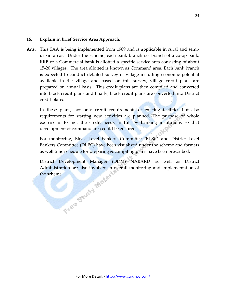#### **16. Explain in brief Service Area Approach.**

**Ans.** This SAA is being implemented from 1989 and is applicable in rural and semiurban areas. Under the scheme, each bank branch i.e. branch of a co-op bank, RRB or a Commercial bank is allotted a specific service area consisting of about 15-20 villages. The area allotted is known as Command area. Each bank branch is expected to conduct detailed survey of village including economic potential available in the village and based on this survey, village credit plans are prepared on annual basis. This credit plans are then compiled and converted into block credit plans and finally, block credit plans are converted into District credit plans.

In these plans, not only credit requirements of existing facilities but also requirements for starting new activities are planned. The purpose of whole exercise is to met the credit needs in full by banking institutions so that development of command area could be ensured.

For monitoring, Block Level bankers Committee (BLBC) and District Level Bankers Committee (DLBC) have been visualized under the scheme and formats as well time schedule for preparing & compiling plans have been prescribed.

District Development Manager (DDM) NABARD as well as District Administration are also involved in overall monitoring and implementation of<br>the scheme.<br> $C^{\text{st}}$ the scheme.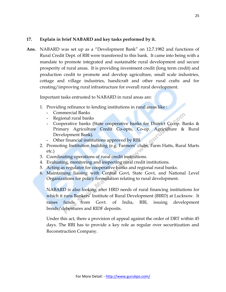#### **17. Explain in brief NABARD and key tasks performed by it.**

**Ans.** NABARD was set up as a "Development Bank" on 12.7.1982 and functions of Rural Credit Dept. of RBI were transferred to this bank. It came into being with a mandate to promote integrated and sustainable rural development and secure prosperity of rural areas. It is providing investment credit (long term credit) and production credit to promote and develop agriculture, small scale industries, cottage and village industries, handicraft and other rural crafts and for creating/improving rural infrastructure for overall rural development.

Important tasks entrusted to NABARD in rural areas are:

- 1. Providing refinance to lending institutions in rural areas like :
	- **-** Commercial Banks
	- **-** Regional rural banks
	- **-** Cooperative banks (State cooperative banks for District Co-op. Banks & Primary Agriculture Credit Co-opts, Co-op. Agriculture & Rural Development Bank).
	- **-** Other financial institutions approved by RBI.
- 2. Promoting Institution building (e.g. Farmers' clubs, Farm Hatts, Rural Marts etc.)
- 3. Coordinating operations of rural credit institutions.
- 4. Evaluating, monitoring and inspecting rural credit institutions.
- 5. Acting as regulator for cooperative banks and regional rural banks.
- 6. Maintaining liaising with Central Govt, State Govt, and National Level Organizations for policy formulation relating to rural development.

NABARD is also looking after HRD needs of rural financing institutions for which it runs Bankers' Institute of Rural Development (BIRD) at Lucknow. It raises funds from Govt. of India, RBI, issuing development bonds/debentures and RIDF deposits.

Under this act, there a provision of appeal against the order of DRT within 45 days. The RBI has to provide a key role as regular over securitization and Reconstruction Company.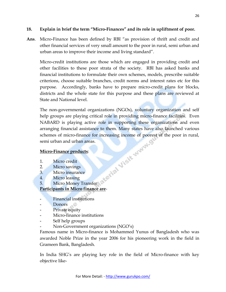#### **18. Explain in brief the term "Micro-Finances" and its role in upliftment of poor.**

**Ans**. Micro-Finance has been defined by RBI "as provision of thrift and credit and other financial services of very small amount to the poor in rural, semi urban and urban areas to improve their income and living standard".

Micro-credit institutions are those which are engaged in providing credit and other facilities to these poor strata of the society. RBI has asked banks and financial institutions to formulate their own schemes, models, prescribe suitable criterions, choose suitable branches, credit norms and interest rates etc for this purpose. Accordingly, banks have to prepare micro-credit plans for blocks, districts and the whole state for this purpose and these plans are reviewed at State and National level.

The non-governmental organizations (NGOs), voluntary organization and self help groups are playing critical role in providing micro-finance facilities. Even NABARD is playing active role in supporting these organizations and even arranging financial assistance to them. Many states have also launched various schemes of micro-finance for increasing income of poorest of the poor in rural,<br>semi urban and urban areas.<br>Micro-Finance products:<br>1. Micro credit<br>2. Micro savings<br>3. Micro insurance<br>4. Micro lead: semi urban and urban areas.

#### **Micro-Finance products**:

- 1. Micro credit
- 2. Micro savings
- 3. Micro insurance
- 4. Micro leasing
- 5. Micro Money Transfer

#### **Participants in Micro finance are**-

- **-** Financial institutions
- **-** Donors
- **-** Private equity
- **-** Micro-finance institutions
- **-** Self help groups
- **-** Non-Government organizations (NGO"s)

Famous name in Micro-finance is Mohammed Yunus of Bangladesh who was awarded Noble Prize in the year 2006 for his pioneering work in the field in Grameen Bank, Bangladesh.

In India SHG"s are playing key role in the field of Micro-finance with key objective like-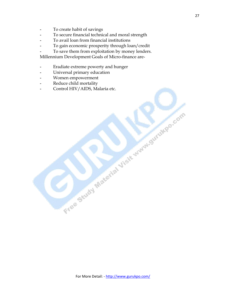- **-** To create habit of savings
- **-** To secure financial technical and moral strength
- **-** To avail loan from financial institutions
- **-** To gain economic prosperity through loan/credit
- **-** To save them from exploitation by money lenders.

Millennium Development Goals of Micro-finance are-

- **-** Eradiate extreme powerty and hunger
- **-** Universal primary education
- **-** Women empowerment
- **-** Reduce child mortality
- **-** Control HIV/AIDS, Malaria etc.

Free Study Material Visit Manufacture Com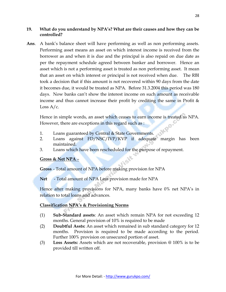#### **19. What do you understand by NPA's? What are their causes and how they can be controlled?**

Ans. A bank's balance sheet will have performing as well as non performing assets. Performing asset means an asset on which interest income is received from the borrower as and when it is due and the principal is also repaid on due date as per the repayment schedule agreed between banker and borrower. Hence an asset which is not a performing asset is treated as non performing asset. It mean that an asset on which interest or principal is not received when due. The RBI took a decision that if this amount is not recovered within 90 days from the date it becomes due, it would be treated as NPA. Before 31.3.2004 this period was 180 days. Now banks can't show the interest income on such amount as receivable income and thus cannot increase their profit by crediting the same in Profit & Loss  $A/c$ .

Hence in simple words, an asset which ceases to earn income is treated as NPA. However, there are exceptions in this regard such as : PO

- 1. Loans guaranteed by Central & State Governments.
- 2. Loans against FD/NSC/IVP/KVP if adequate margin has been maintained.
- 3. Loans which have been rescheduled for the purpose of repayment.

#### **Gross & Net NPA** –

**Gross** - Total amount of NPA before making provision for NPA

**Net** - Total amount of NPA Less provision made for NPA

Hence after making provisions for NPA, many banks have 0% net NPA's in relation to total loans and advances.

#### **Classification NPA's & Provisioning Norms**

- (1) **Sub-Standard assets**: An asset which remain NPA for not exceeding 12 months. General provision of 10% is required to be made
- (2) **Doubtful Assts:** An asset which remained in sub standard category for 12 months. Provision is required to be made according to the period. Further 100% provision on unsecured portion of asset.
- (3) **Loss Assets:** Assets which are not recoverable, provision @ 100% is to be provided till written off.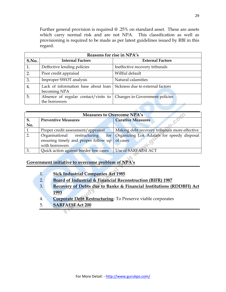Further general provision is required @ .25% on standard asset. These are assets which carry normal risk and are not NPA. This classification as well as provisioning is required to be made as per latest guidelines issued by RBI in this regard.

| Reasons for rise in NPA's |                                                     |                                  |  |
|---------------------------|-----------------------------------------------------|----------------------------------|--|
| S.No.                     | <b>Internal Factors</b>                             | <b>External Factors</b>          |  |
| 1.                        | Deffective lending policies                         | Ineffective recovery tribunals   |  |
| 2.                        | Poor credit appraisal                               | Willful default                  |  |
| 3.                        | Improper SWOT analysis                              | Natural calamities               |  |
| 4.                        | Lack of information base about loan<br>becoming NPA | Sickness due to external factors |  |
| 5.                        | Absence of regular contact/visits to                | Changes in Government policies   |  |
|                           | the borrowers                                       |                                  |  |
|                           |                                                     |                                  |  |

| <b>Measures to Overcome NPA's</b> |                                               |                                                |  |
|-----------------------------------|-----------------------------------------------|------------------------------------------------|--|
| S.                                | <b>Preventive Measures</b>                    | <b>Curative Measures</b>                       |  |
| No.                               |                                               |                                                |  |
|                                   | Proper credit assessment/appraisal            | Making debt recovery tribunals more effective  |  |
|                                   | Organisational restructuring                  | for Organizing Lok Adalats for speedy disposal |  |
|                                   | ensuring timely and proper follow up of cases |                                                |  |
|                                   | with borrowers                                |                                                |  |
|                                   | Quick action against border line cases        | <b>Use of SARFAESI ACT</b>                     |  |

#### **Government initiative to overcome problem of NPA's**

- 1. **Sick Industrial Companies Act 1985**
- 2. **Board of Industrial & Financial Reconstruction (BIFR) 1987**
- 3. **Recovery of Debts due to Banks & Financial Institutions (RDDBFI) Act 1993**
- 4. **Corporate Debt Restructuring** To Preserve viable corporates
- 5. **SARFAESI Act 200**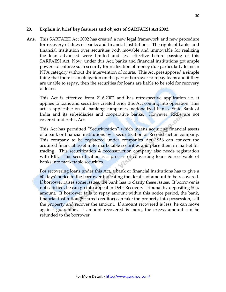#### **20. Explain in brief key features and objects of SARFAESI Act 2002.**

**Ans.** This SARFAESI Act 2002 has created a new legal framework and new procedure for recovery of dues of banks and financial institutions. The rights of banks and financial institution over securities both movable and immovable for realizing the loan advanced were limited and less effective before passing of this SARFAESI Act. Now, under this Act, banks and financial institutions got ample powers to enforce such security for realization of money due particularly loans in NPA category without the intervention of courts. This Act presupposed a simple thing that there is an obligation on the part of borrower to repay loans and if they are unable to repay, then the securities for loans are liable to be sold for recovery of loans.

This Act is effective from 21.6.2002 and has retrospective application i.e. it applies to loans and securities created prior this Act coming into operation. This act is applicable on all banking companies, nationalized banks, State Bank of India and its subsidiaries and cooperative banks. However, RRBs are not covered under this Act.

This Act has permitted "Securitization" which means acquiring financial assets of a bank or financial institutions by a securitization or Reconstruction company. This company to be registered under companies Act 1956 can convert the acquired financial asset in to marketable securities and place them in market for trading. This securitization & reconstruction company also needs registration with RBI. This securitization is a process of converting loans & receivable of banks into marketable securities.

For recovering loans under this Act, a bank or financial institutions has to give a 60 days" notice to the borrower indicating the details of amount to be recovered. If borrower raises some issues, the bank has to clarify these issues. If borrower is not satisfied, he can go into appeal in Debt Recovery Tribunal by depositing 50% amount. If borrower fails to repay amount within this notice period, the bank, financial institution (Secured creditor) can take the property into possession, sell the property and recover the amount. If amount recovered is less, he can move against guarantors. If amount recovered is more, the excess amount can be refunded to the borrower.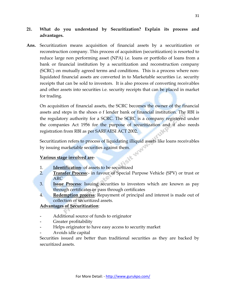#### **21. What do you understand by Securitization? Explain its process and advantages.**

**Ans.** Securitization means acquisition of financial assets by a securitization or reconstruction company. This process of acquisition (securitization) is resorted to reduce large non performing asset (NPA) i.e. loans or portfolio of loans from a bank or financial institution by a securitization and reconstruction company (SCRC) on mutually agreed terms and conditions. This is a process where nonliquidated financial assets are converted in to Marketable securities i.e. security receipts that can be sold to investors. It is also process of converting receivables and other assets into securities i.e. security receipts that can be placed in market for trading.

On acquisition of financial assets, the SCRC becomes the owner of the financial assets and steps in the shoes o f lender bank or financial institution. The RBI is the regulatory authority for a SCRC. The SCRC is a company registered under the companies Act 1956 for the purpose of securitization and it also needs registration from RBI as per SARFAESI ACT 2002.

Securitization refers to process of liquidating illiquid assets like loans receivables<br>by issuing marketable securities against them.<br>Various of by issuing marketable securities against them.

#### **Various stage involved are**-

- 1. **Identification** of assets to be securitized
- 2. **Transfer Process**:- in favour of Special Purpose Vehicle (SPV) or trust or ARC
- 3. **Issue Process**: Issuing securities to investors which are known as pay through certificates or pass through certificates
- 4. **Redemption process**: Repayment of principal and interest is made out of collection of securitized assets.

#### **Advantages of Securitization**:

- **-** Additional source of funds to originator
- **-** Greater profitability
- **-** Helps originator to have easy access to security market
- **-** Avoids idle capital

Securities issued are better than traditional securities as they are backed by securitized assets.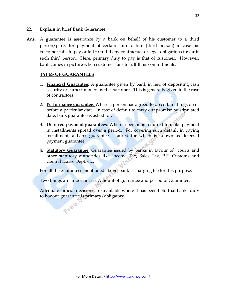#### **22. Explain in brief Bank Guarantee.**

**Ans**. A guarantee is assurance by a bank on behalf of his customer to a third person/party for payment of certain sum to him (third person) in case his customer fails to pay or fail to fulfill any contractual or legal obligations towards such third person. Here, primary duty to pay is that of customer. However, bank comes in picture when customer fails to fulfill his commitments.

#### **TYPES OF GUARANTEES**

Free

- 1. **Financial Guarantee**: A guarantee given by bank in lieu of depositing cash security or earnest money by the customer. This is generally given in the case of contractors.
- 2. **Performance guarantee**: Where a person has agreed to do certain things on or before a particular date. In case of default to carry out promise by stipulated date, bank guarantee is asked for.
- 3. **Deferred payment guarantees**: Where a person is required to make payment in installments spread over a period. For covering such default in paying installment, a bank guarantee is asked for which is known as deferred payment guarantee.
- 4. **Statutory Guarantee**: Guarantee issued by banks in favour of courts and other statutory authorities like Income Tax, Sales Tax, P.F, Customs and Central Excise Dept. etc.

For all the guarantees mentioned above, bank is charging fee for this purpose.

Two things are important i.e. Amount of guarantee and period of Guarantee.

Adequate judicial decisions are available where it has been held that banks duty to honour guarantee is primary/obligatory.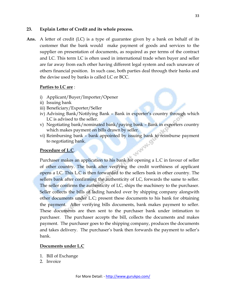#### **23. Explain Letter of Credit and its whole process.**

**Ans.** A letter of credit (LC) is a type of guarantee given by a bank on behalf of its customer that the bank would make payment of goods and services to the supplier on presentation of documents, as required as per terms of the contract and LC. This term LC is often used in international trade when buyer and seller are far away from each other having different legal system and each unaware of others financial position. In such case, both parties deal through their banks and the devise used by banks is called LC or BCC.

#### **Parties to LC are** :

- i) Applicant/Buyer/Importer/Opener
- ii) Issuing bank
- iii) Beneficiary/Exporter/Seller
- iv) Advising Bank/Notifying Bank Bank in exporter's country through which LC is advised to the seller.
- v) Negotiating bank/nominated bank/paying bank Bank in exporters country which makes payment on bills drawn by seller.
- vi) Reimbursing bank bank appointed by issuing bank to reimburse payment to negotiating bank.<br> **Procedure of L.C.** to negotiating bank.

#### **Procedure of L.C**.

Purchaser makes an application to his bank for opening a L.C in favour of seller of other country. The bank after verifying the credit worthiness of applicant opens a LC. This L.C is then forwarded to the sellers bank in other country. The sellers bank after confirming the authenticity of LC, forwards the same to seller. The seller confirms the authenticity of LC, ships the machinery to the purchaser. Seller collects the bills of lading handed over by shipping company alongwith other documents under L.C; present these documents to his bank for obtaining the payment. After verifying bills documents, bank makes payment to seller. These documents are then sent to the purchaser bank under intimation to purchaser. The purchaser accepts the bill, collects the documents and makes payment. The purchaser goes to the shipping company, produces the documents and takes delivery. The purchaser's bank then forwards the payment to seller's bank.

#### **Documents under L.C**

- 1. Bill of Exchange
- 2. Invoice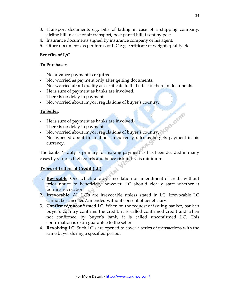- 3. Transport documents e.g. bills of lading in case of a shipping company, airline bill in case of air transport, post parcel bill if sent by post
- 4. Insurance documents signed by insurance company or his agent.
- 5. Other documents as per terms of L.C e.g. certificate of weight, quality etc.

#### **Benefits of L/C**

#### **To Purchaser:**

- **-** No advance payment is required.
- **-** Not worried as payment only after getting documents.
- **-** Not worried about quality as certificate to that effect is there in documents.
- **-** He is sure of payment as banks are involved.
- **-** There is no delay in payment.
- **-** Not worried about import regulations of buyer"s country.

#### **To Seller:**

- **-** He is sure of payment as banks are involved.
- **-** There is no delay in payment.
- **-** Not worried about import regulations of buyer"s country.
- **-** Not worried about fluctuations in currency rates as he gets payment in his currency.

The banker's duty is primary for making payment as has been decided in many cases by various high courts and hence risk in L.C is minimum.

#### **Types of Letters of Credit (LC)**

- 1. **Revocable**: One which allows cancellation or amendment of credit without prior notice to beneficiary however, LC should clearly state whether it permits revocation.
- 2. **Irrevocable**: All LC"s are irrevocable unless stated in LC. Irrevocable LC cannot be cancelled/amended without consent of beneficiary.
- 3. **Confirmed/unconfirmed LC**: When on the request of issuing banker, bank in buyer"s country confirms the credit, it is called confirmed credit and when not confirmed by buyer"s bank, it is called unconfirmed LC. This confirmation is extra guarantee to the seller.
- 4. **Revolving LC**: Such LC"s are opened to cover a series of transactions with the same buyer during a specified period.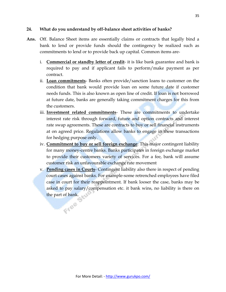#### **24. What do you understand by off-balance sheet activities of banks?**

- **Ans.** Off. Balance Sheet items are essentially claims or contracts that legally bind a bank to lend or provide funds should the contingency be realized such as commitments to lend or to provide back up capital. Common items are
	- i. **Commercial or standby letter of credit** it is like bank guarantee and bank is required to pay and if applicant fails to perform/make payment as per contract.
	- ii. **Loan commitments** Banks often provide/sanction loans to customer on the condition that bank would provide loan on some future date if customer needs funds. This is also known as open line of credit. If loan is not borrowed at future date, banks are generally taking commitment charges for this from the customers.
	- iii. **Investment related commitments** These are commitments to undertake interest rate risk through forward, future and option contracts and interest rate swap agreements. These are contracts to buy or sell financial instruments at on agreed price. Regulations allow banks to engage in these transactions for hedging purpose only.
	- iv. **Commitment to buy or sell foreign exchange**: This major contingent liability for many money-centre banks. Banks participates in foreign exchange market to provide their customers variety of services. For a fee, bank will assume customer risk an unfavourable exchange rate movement
	- v. **Pending cases in Courts** Contingent liability also there in respect of pending court cases against banks. For example-some retrenched employees have filed case in court for their reappointment. If bank looser the case, banks may be asked to pay salary/compensation etc. it bank wins, no liability is there on the part of bank.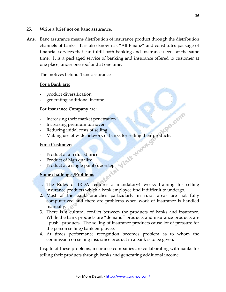#### **25. Write a brief not on banc assurance.**

**Ans.** Banc assurance means distribution of insurance product through the distribution channels of banks. It is also known as "All Finanz" and constitutes package of financial services that can fulfill both banking and insurance needs at the same time. It is a packaged service of banking and insurance offered to customer at one place, under one roof and at one time.

The motives behind "banc assurance"

#### **For a Bank are:**

- **-** product diversification
- **-** generating additional income

#### **For Insurance Company are**:

- **-** Increasing their market penetration
- **-** Increasing premium turnover
- **-** Reducing initial costs of selling
- **-** Making use of wide network of banks for selling their products.

#### **For a Customer:**

- **-** Product at a reduced price
- **-** Product of high quality
- **-** Product at a single point/doorstep.

#### **Some challenges/Problems**

- 1. The Rules of IRDA requires a mandatory4 weeks training for selling insurance products which a bank employee find it difficult to undergo.
- 2. Most of the bank branches particularly in rural areas are not fully computerized and there are problems when work of insurance is handled manually.
- 3. There is a cultural conflict between the products of banks and insurance. While the bank products are "demand" products and insurance products are "push" products. The selling of insurance products cause lot of pressure for the person selling/bank employee.
- 4. At times performance recognition becomes problem as to whom the commission on selling insurance product in a bank is to be given.

Inspite of these problems, insurance companies are collaborating with banks for selling their products through banks and generating additional income.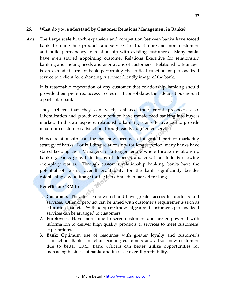#### **26. What do you understand by Customer Relations Management in Banks?**

**Ans.** The Large scale branch expansion and competition between banks have forced banks to refine their products and services to attract more and more customers and build permanency in relationship with existing customers. Many banks have even started appointing customer Relations Executive for relationship banking and meting needs and aspirations of customers. Relationship Manager is an extended arm of bank performing the critical function of personalized service to a client for enhancing customer friendly image of the bank.

It is reasonable expectation of any customer that relationship banking should provide them preferred access to credit. It consolidates their deposit business at a particular bank

They believe that they can vastly enhance their credit prospects also. Liberalization and growth of competition have transformed banking into buyers market. In this atmosphere, relationship banking is an effective tool to provide maximum customer satisfaction through vastly augmented services.

Hence relationship banking has now become a integrated part of marketing strategy of banks. For building relationship- for longer period, many banks have stared keeping their Managers for a longer tenure where through relationship banking, banks growth in terms of deposits and credit portfolio is showing exemplary results. Through customer relationship banking, banks have the potential of raising overall profitability for the bank significantly besides establishing a good image for the bank branch in market for long.

#### **Benefits of CRM to**:

- 1. **Customers**: They feel empowered and have greater access to products and services. Offer of product can be timed with customer's requirements such as education loan etc.: With adequate knowledge about customers, personalized services can be arranged to customers.
- 2. **Employees**: Have more time to serve customers and are empowered with information to deliver high quality products  $\&$  services to meet customers' expectations.
- 3. **Bank**: Optimum use of resources with greater loyalty and customer"s satisfaction. Bank can retain existing customers and attract new customers due to better CRM. Bank Officers can better utilize opportunities for increasing business of banks and increase overall profitability.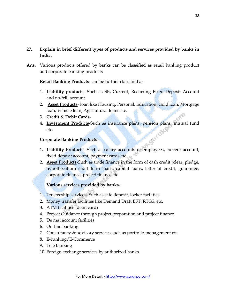#### **27. Explain in brief different types of products and services provided by banks in India.**

**Ans.** Various products offered by banks can be classified as retail banking product and corporate banking products

**Retail Banking Products**- can be further classified as-

- 1. **Liability products** Such as SB, Current, Recurring Fixed Deposit Account and no-frill account
- 2. **Asset Products** loan like Housing, Personal, Education, Gold loan, Mortgage loan, Vehicle loan, Agricultural loans etc.
- 3. **Credit & Debit Cards**-
- 4. **Investment Products**-Such as insurance plans, pension plans, mutual fund etc.

#### **Corporate Banking Products**-

- **1. Liability Products** Such as salary accounts of employees, current account, fixed deposit account, payment cards etc.
- **2. Asset Products**-Such as trade finance in the form of cash credit (clear, pledge, hypothecation) short term loans, capital loans, letter of credit, guarantee, corporate finance, project finance etc

#### **Various services provided by banks**-

- 1. Trusteeship services- Such as safe deposit, locker facilities
- 2. Money transfer facilities like Demand Draft EFT, RTGS, etc.
- 3. ATM facilities (debit card)
- 4. Project Guidance through project preparation and project finance
- 5. De mat account facilities
- 6. On-line banking
- 7. Consultancy & advisory services such as portfolio management etc.
- 8. E-banking/E-Commerce
- 9. Tele Banking
- 10. Foreign exchange services by authorized banks.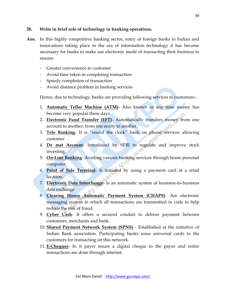#### **28. Write in brief role of technology in banking operations.**

- **Ans.** In this highly competitive banking sector, entry of foreign banks in Indian and innovations taking place in the era of information technology it has become necessary for banks to make use electronic mode of transacting their business to ensure:
	- Greater convenience to customer
	- Avoid time taken in completing transaction
	- Speedy completion of transaction
	- Avoid distance problem in banking services

Hence, due to technology, banks are providing following services to customers:-

- 1. **Automatic Teller Machine (ATM)** Also known as any time money has become very popular these days.
- 2. **Electronic Fund Transfer (EFT)** Automatically transfers money from one account to another, from one entity to another.
- 3. **Tele Banking** It is "round the clock" bank on phone services allowing customer
- 4. **De mat Account** Introduced by SEBI to regulate and improve stock investing.
- 5. **On-Line Banking** Availing various banking services through home personal computer.
- 6. **Point of Sale Terminal** Is initiated by using a payment card at a retail location.
- 7. **Electronic Data Interchange** Is an automatic system of business-to-business data exchange
- 8. **Clearing House Automatic Payment System (CHAPS)** Are electronic messaging system in which all transactions are transmitted in code to help reduce the risk of fraud.
- 9. **Cyber Cash** It offers a secured conduit to deliver payment between customers, merchants and bank.
- 10. **Shared Payment Network System (SPNS)** Established at the initiative of Indian Bank association. Participating banks issue universal cards to the customers for transacting on this network.
- 11. **E-Cheques** In it payer issues a digital cheque to the payer and entire transactions are done through internet.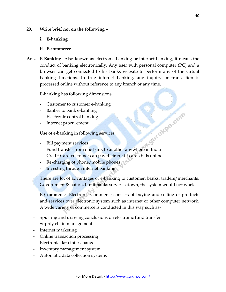#### **29. Write brief not on the following –**

- **i. E-banking**
- **ii. E-commerce**
- **Ans. E-Banking** Also known as electronic banking or internet banking, it means the conduct of banking electronically. Any user with personal computer (PC) and a browser can get connected to his banks website to perform any of the virtual banking functions. In true internet banking, any inquiry or transaction is processed online without reference to any branch or any time.

E-banking has following dimensions

- Customer to customer e-banking
- Banker to bank e-banking
- Electronic control banking
- Internet procurement

Use of e-banking in following services

- Bill payment services
- Bill payment services<br>- Bill payment services<br>- Fund transfer from one bank to another anywhere in India
- Credit Card customer can pay their credit cards bills online
- Re-charging of phone/mobile phones
- Investing through internet banking

There are lot of advantages of e-banking to customer, banks, traders/merchants, Government & nation, but if banks server is down, the system would not work.

**E-Commerce**- Electronic Commerce consists of buying and selling of products and services over electronic system such as internet or other computer network. A wide variety of commerce is conducted in this way such as-

- Spurring and drawing conclusions on electronic fund transfer
- Supply chain management
- Internet marketing
- Online transaction processing
- Electronic data inter change
- Inventory management system
- Automatic data collection systems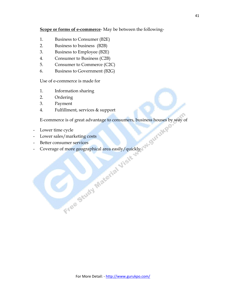#### **Scope or forms of e-commerce**- May be between the following-

- 1. Business to Consumer (B2E)
- 2. Business to business (B2B)
- 3. Business to Employee (B2E)
- 4. Consumer to Business (C2B)
- 5. Consumer to Commerce (C2C)
- 6. Business to Government (B2G)

Use of e-commerce is made for

- 1. Information sharing
- 2. Ordering
- 3. Payment
- 4. Fulfillment, services & support

E-commerce is of great advantage to consumers, business houses by way of

- Lower time cycle
- Lower sales/marketing costs
- Better consumer services
- Coverage of more geographical area easily/quickly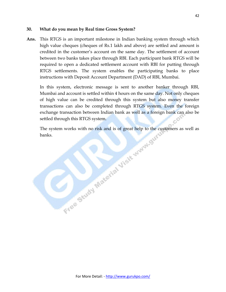#### **30. What do you mean by Real time Gross System?**

**Ans.** This RTGS is an important milestone in Indian banking system through which high value cheques (cheques of Rs.1 lakh and above) are settled and amount is credited in the customer"s account on the same day. The settlement of account between two banks takes place through RBI. Each participant bank RTGS will be required to open a dedicated settlement account with RBI for putting through RTGS settlements. The system enables the participating banks to place instructions with Deposit Account Department (DAD) of RBI, Mumbai.

In this system, electronic message is sent to another banker through RBI, Mumbai and account is settled within 4 hours on the same day. Not only cheques of high value can be credited through this system but also money transfer transactions can also be completed through RTGS system. Even the foreign exchange transaction between Indian bank as well as a foreign bank can also be

settled through this RTGS system.<br>The system works with no risk and is of great help to the contact the stars. The system works with no risk and is of great help to the customers as well as banks.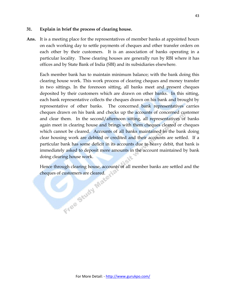#### **31. Explain in brief the process of clearing house.**

Ans. It is a meeting place for the representatives of member banks at appointed hours on each working day to settle payments of cheques and other transfer orders on each other by their customers. It is an association of banks operating in a particular locality. These clearing houses are generally run by RBI where it has offices and by State Bank of India (SBI) and its subsidiaries elsewhere.

Each member bank has to maintain minimum balance; with the bank doing this clearing house work. This work process of clearing cheques and money transfer in two sittings. In the forenoon sitting, all banks meet and present cheques deposited by their customers which are drawn on other banks. In this sitting, each bank representative collects the cheques drawn on his bank and brought by representative of other banks. The concerned bank representatives carries cheques drawn on his bank and checks up the accounts of concerned customer and clear them. In the second/afternoon sitting, all representatives of banks again meet in clearing house and brings with them cheques cleared or cheques which cannot be cleared. Accounts of all banks maintained in the bank doing clear housing work are debited or credited and their accounts are settled. If a particular bank has some deficit in its accounts due to heavy debit, that bank is immediately asked to deposit more amounts in the account maintained by bank doing clearing house work.

Hence through clearing house, accounts of all member banks are settled and the cheques of customers are cleared.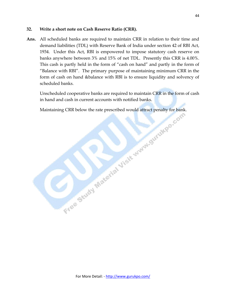#### **32. Write a short note on Cash Reserve Ratio (CRR).**

**Ans.** All scheduled banks are required to maintain CRR in relation to their time and demand liabilities (TDL) with Reserve Bank of India under section 42 of RBI Act, 1934. Under this Act, RBI is empowered to impose statutory cash reserve on banks anywhere between 3% and 15% of net TDL. Presently this CRR is 4.00%. This cash is partly held in the form of "cash on hand" and partly in the form of "Balance with RBI". The primary purpose of maintaining minimum CRR in the form of cash on hand &balance with RBI is to ensure liquidity and solvency of scheduled banks.

Unscheduled cooperative banks are required to maintain CRR in the form of cash in hand and cash in current accounts with notified banks.

Maintaining CRR below the rate prescribed would attract penalty for bank.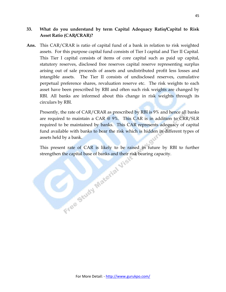#### **33. What do you understand by term Capital Adequacy Ratio/Capital to Risk Asset Ratio (CAR/CRAR)?**

**Ans.** This CAR/CRAR is ratio of capital fund of a bank in relation to risk weighted assets. For this purpose capital fund consists of Tier I capital and Tier II Capital. This Tier I capital consists of items of core capital such as paid up capital, statutory reserves, disclosed free reserves capital reserve representing surplus arising out of sale proceeds of assets and undistributed profit less losses and intangible assets. The Tier II consists of undisclosed reserves, cumulative perpetual preference shares, revaluation reserve etc. The risk weights to each asset have been prescribed by RBI and often such risk weights are changed by RBI. All banks are informed about this change in risk weights through its circulars by RBI.

Presently, the rate of CAR/CRAR as prescribed by RBI is 9% and hence all banks are required to maintain a CAR  $@9\%$ . This CAR is in addition to CRR/SLR required to be maintained by banks. This CAR represents adequacy of capital fund available with banks to bear the risk which is hidden in different types of assets held by a bank.

This present rate of CAR is likely to be raised in future by RBI to further strengthen the capital base of banks and their risk bearing capacity. strengthen the capital base of banks and their risk bearing capacity.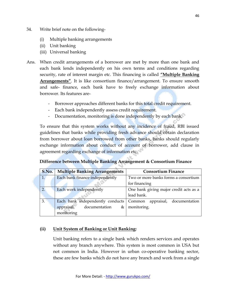- 34. Write brief note on the following-
	- (i) Multiple banking arrangements
	- (ii) Unit banking
	- (iii) Universal banking
- Ans. When credit arrangements of a borrower are met by more than one bank and each bank lends independently on his own terms and conditions regarding security, rate of interest margin etc. This financing is called **"Multiple Banking Arrangements"**. It is like consortium finance/arrangement. To ensure smooth and safe- finance, each bank have to freely exchange information about borrower. Its features are-
	- Borrower approaches different banks for this total credit requirement.
	- Each bank independently assess credit requirement.
	- Documentation, monitoring is done independently by each bank.

To ensure that this system works without any incidence of fraud, RBI issued guidelines that banks while providing fresh advance should obtain declaration from borrower about loan borrowed from other banks, banks should regularly exchange information about conduct of account of borrower, add clause in agreement regarding exchange of information etc.

 **Difference between Multiple Banking Arrangement & Consortium Finance**

| S.No. | <b>Multiple Banking Arrangements</b>        | <b>Consortium Finance</b>              |
|-------|---------------------------------------------|----------------------------------------|
| 1.    | Each bank finance independently             | Two or more banks forms a consortium   |
|       |                                             | for financing                          |
| 2.    | Each work independently                     | One bank giving major credit acts as a |
|       |                                             | lead bank.                             |
| 3.    | Each bank independently conducts            | Common appraisal, documentation        |
|       | appraisal,<br>documentation<br>$\&$ $\vert$ | monitoring.                            |
|       | monitoring                                  |                                        |

#### **(ii) Unit System of Banking or Unit Banking:**

Unit banking refers to a single bank which renders services and operates without any branch anywhere. This system is most common in USA but not common in India. However in urban co-operative banking sector, these are few banks which do not have any branch and work from a single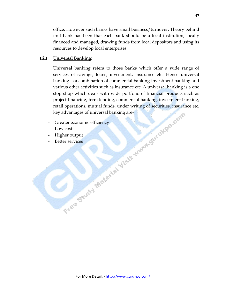office. However such banks have small business/turnover. Theory behind unit bank has been that each bank should be a local institution, locally financed and managed, drawing funds from local depositors and using its resources to develop local enterprises

#### **(iii) Universal Banking:**

Universal banking refers to those banks which offer a wide range of services of savings, loans, investment, insurance etc. Hence universal banking is a combination of commercial banking-investment banking and various other activities such as insurance etc. A universal banking is a one stop shop which deals with wide portfolio of financial products such as project financing, term lending, commercial banking, investment banking, retail operations, mutual funds, under writing of securities, insurance etc. key advantages of universal banking are-

- Greater economic efficiency
- Low cost
- Higher output
- Better services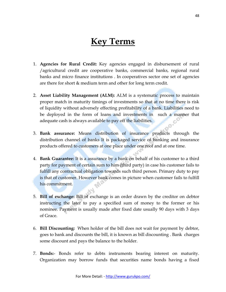# **Key Terms**

- 1. **Agencies for Rural Credit:** Key agencies engaged in disbursement of rural /agricultural credit are cooperative banks, commercial banks, regional rural banks and micro finance institutions . In cooperatives sector one set of agencies are there for short & medium term and other for long term credit.
- 2. **Asset Liability Management (ALM):** ALM is a systematic process to maintain proper match in maturity timings of investments so that at no time there is risk of liquidity without adversely effecting profitability of a bank. Liabilities need to be deployed in the form of loans and investments in such a manner that adequate cash is always available to pay off the liabilities.
- 3. **Bank assurance:** Means distribution of insurance products through the distribution channel of banks It is packaged service of banking and insurance products offered to customers at one place under one roof and at one time.
- 4. **Bank Guarantee:** It is a assurance by a bank on behalf of his customer to a third party for payment of certain sum to him (third party) in case his customer fails to fulfill any contractual obligation towards such third person. Primary duty to pay is that of customer. However bank comes in picture when customer fails to fulfill his commitment.
- 5. **Bill of exchange:** Bill of exchange is an order drawn by the creditor on debtor instructing the later to pay a specified sum of money to the former or his nominee. Payment is usually made after fixed date usually 90 days with 3 days of Grace.
- 6. **Bill Discounting:** When holder of the bill does not wait for payment by debtor, goes to bank and discounts the bill, it is known as bill discounting . Bank charges some discount and pays the balance to the holder.
- 7. **Bonds:** Bonds refer to debts instruments bearing interest on maturity. Organization may borrow funds that securities name bonds having a fixed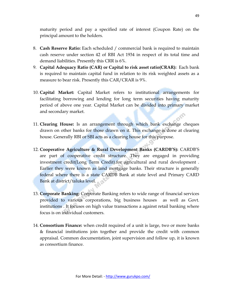maturity period and pay a specified rate of interest (Coupon Rate) on the principal amount to the holders.

- 8. **Cash Reserve Ratio:** Each scheduled / commercial bank is required to maintain cash reserve under section 42 of RBI Act 1934 in respect of its total time and demand liabilities. Presently this CRR is 6%.
- 9. **Capital Adequacy Ratio (CAR) or Capital to risk asset ratio(CRAR):** Each bank is required to maintain capital fund in relation to its risk weighted assets as a measure to bear risk. Presently this CAR/CRAR is 9%.
- 10. **Capital Market:** Capital Market refers to institutional arrangements for facilitating borrowing and lending for long term securities having maturity period of above one year. Capital Market can be divided into primary market and secondary market.
- 11. **Clearing House:** Is an arrangement through which bank exchange cheques drawn on other banks for those drawn on it. This exchange is done at clearing house. Generally RBI or SBI acts as a clearing house for this purpose.
- 12. **Cooperative Agriculture & Rural Development Banks (CARDB'S):** CARDB"S are part of cooperative credit structure. They are engaged in providing investment credit(Long Term Credit).for agricultural and rural development . Earlier they were known as land mortgage banks. Their structure is generally federal where there is a state CARDB Bank at state level and Primary CARD Bank at district/taluka level.
- 13. **Corporate Banking:** Corporate Banking refers to wide range of financial services provided to various corporations, big business houses as well as Govt. institutions . It focuses on high value transactions a against retail banking where focus is on individual customers.
- 14. **Consortium Finance:** when credit required of a unit is large, two or more banks & financial institutions join together and provide the credit with common appraisal. Common documentation, joint supervision and follow up, it is known as consortium finance.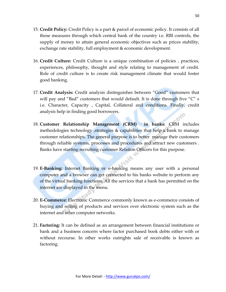- 15. **Credit Policy:** Credit Policy is a part & parcel of economic policy. It consists of all those measures through which central bank of the country i.e. RBI controls, the supply of money to attain general economic objectives such as prices stability, exchange rate stability, full employment & economic development.
- 16. **Credit Culture:** Credit Culture is a unique combination of policies , practices, experiences, philosophy, thought and style relating to management of credit. Role of credit culture is to create risk management climate that would foster good banking.
- 17. **Credit Analysis:** Credit analysis distinguishes between "Good" customers that will pay and "Bad" customers that would default. It is done through five "C" s i.e. Character, Capacity , Capital, Collateral and conditions. Finally, credit analysis help in finding good borrowers.
- 18. **Customer Relationship Management (CRM) in banks:** CRM includes methodologies technology ,strategies & capabilities that help a bank to manage customer relationships. The general purpose is to better manage their customers through reliable systems, processes and procedures and attract new customers . Banks have starting recruiting customer Relation Officers for this purpose.
- 19. **E-Banking:** Internet Banking or e-banking means any user with a personal computer and a browser can get connected to his banks website to perform any of the virtual banking functions. All the services that a bank has permitted on the internet are displayed in the menu.
- 20. **E-Commerce:** Electronic Commerce commonly known as e-commerce consists of buying and selling of products and services over electronic system such as the internet and other computer networks.
- 21. **Factoring:** It can be defined as an arrangement between financial institutions or bank and a business concern where factor purchased book debts either with or without recourse. In other works outrights sale of receivable is known as factoring.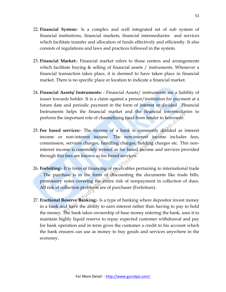- 22. **Financial System:** Is a complex and well integrated set of sub system of financial institutions, financial markets, financial intermediaries and services which facilitate transfer and allocation of funds effectively and efficiently. It also consists of regulations and laws and practices followed in the system.
- 23. **Financial Market:** Financial market refers to those centers and arrangements which facilitate buying  $\&$  selling of financial assets / instruments. Whenever a financial transaction takes place, it is deemed to have taken place in financial market. There is no specific place or location to indicate a financial market.
- 24. **Financial Assets/ Instruments:** Financial Assets/ instruments are a liability of issuer towards holder. It is a claim against a person/institution for payment at a future date and periodic payment in the form of interest or divided . Financial Instruments helps the financial market and the financial intermediaries to perform the important role of channelizing fund from lender to borrower.
- 25. **Fee based services:** The income of a bank is commonly divided as interest income or non-interest income. The non-interest income includes fees, commission, services charges, handling charges, holding charges etc. This noninterest income is commonly termed as fee based income and services provided through this fees are known as fee based services.
- 26. **Forfeiting:** It is form of financing of receivables pertaining to international trade . The purchase is in the form of discounting the documents like trade bills, promissory notes covering the entire risk of nonpayment in collection of dues. All risk of collection problems are of purchaser (Forfeiture).
- 27. **Fractional Reserve Banking:** Is a type of banking where depositor invest money in a bank and have the ability to earn interest rather than having to pay to hold the money. The bank takes ownership of base money entering the bank, uses it to maintain highly liquid reserve to repay expected customer withdrawal and pay for bank operation and in term gives the customer a credit to his account which the bank ensures can use as money to buy goods and services anywhere in the economy.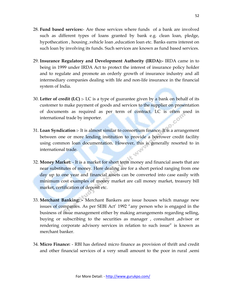- 28. **Fund based services:** Are those services where funds of a bank are involved such as different types of loans granted by bank e.g. clean loan, pledge, hypothecation , housing ,vehicle loan ,education loan etc. Banks earns interest on such loan by involving its funds. Such services are known as fund based services.
- 29. **Insurance Regulatory and Development Authority (IRDA):-** IRDA came in to being in 1999 under IRDA Act to protect the interest of insurance policy holder and to regulate and promote an orderly growth of insurance industry and all intermediary companies dealing with life and non-life insurance in the financial system of India.
- 30. **Letter of credit (LC) :** LC is a type of guarantee given by a bank on behalf of its customer to make payment of goods and services to the supplier on presentation of documents as required as per term of contract. LC is often used in international trade by importer. international trade by importer.
- 31. **Loan Syndication :** It is almost similar to consortium finance. It is a arrangement between one or more lending institution to provide a borrower credit facility using common loan documentation. However, this is generally resorted to in international trade.
- 32. **Money Market:** It is a market for short term money and financial assets that are near substitutes of money. Here dealing are for a short period ranging from one day up to one year and financial assets can be converted into case easily with minimum cost examples of money market are call money market, treasury bill market, certification of deposit etc.
- 33. **Merchant Banking: -** Merchant Bankers are issue houses which manage new issues of companies. As per SEBI Act' 1992 "any person who is engaged in the business of issue management either by making arrangements regarding selling, buying or subscribing to the securities as manager , consultant ,advisor or rendering corporate advisory services in relation to such issue" is known as merchant banker.
- 34. **Micro Finance:** RBI has defined micro finance as provision of thrift and credit and other financial services of a very small amount to the poor in rural ,semi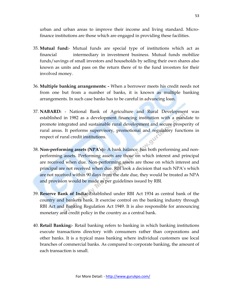urban and urban areas to improve their income and living standard. Microfinance institutions are those which are engaged in providing these facilities.

- 35. **Mutual fund:** Mutual funds are special type of institutions which act as financial intermediary in investment business. Mutual funds mobilize funds/savings of small investors and households by selling their own shares also known as units and pass on the return there of to the fund investors for their involved money.
- 36. **Multiple banking arrangements: -** When a borrower meets his credit needs not from one but from a number of banks, it is known as multiple banking arrangements. In such case banks has to be careful in advancing loan.
- 37. **NABARD:** National Bank of Agriculture and Rural Development was established in 1982 as a development financing institution with a mandate to promote integrated and sustainable rural development and secure prosperity of rural areas. It performs supervisory, promotional and regulatory functions in respect of rural credit institutions.
- 38. **Non-performing assets (NPA's):** A bank balance has both performing and nonperforming assets. Performing assets are those on which interest and principal are received when due. Non-performing assets are those on which interest and principal are not received when due. RBI look a decision that such NPA"s which are not received within 90 days from the date due, they would be treated as NPA and provision would be made as per guidelines issued by RBI.
- 39. **Reserve Bank of India:**-Established under RBI Act 1934 as central bank of the country and bankers bank. It exercise control on the banking industry through RBI Act and Banking Regulation Act 1949. It is also responsible for announcing monetary and credit policy in the country as a central bank.
- 40. **Retail Banking:** Retail banking refers to banking in which banking institutions execute transactions directory with consumers rather than corporations and other banks. It is a typical mass banking where individual customers use local branches of commercial banks. As compared to corporate banking, the amount of each transaction is small.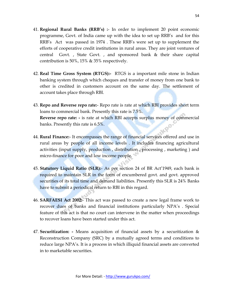- 41. **Regional Rural Banks (RRB's) :** In order to implement 20 point economic programme, Govt. of India came up with the idea to set up RRB"s and for this RRB"s Act was passed in 1974 . These RRB"s were set up to supplement the efforts of cooperative credit institutions in rural areas. They are joint ventures of central Govt. , State Govt. , and sponsored bank & their share capital contribution is 50%, 15% & 35% respectively.
- 42. **Real Time Gross System (RTGS):-** RTGS is a important mile stone in Indian banking system through which cheques and transfer of money from one bank to other is credited in customers account on the same day. The settlement of account takes place through RBI.
- 43. **Repo and Reverse repo rate:** Repo rate is rate at which RBI provides short term loans to commercial bank. Presently this rate is 7.5%. **Reverse repo rate: -** is rate at which RBI accepts surplus money of commercial banks. Presently this rate is 6.5%.
- 44. **Rural Finance:** It encompasses the range of financial services offered and use in rural areas by people of all income levels . It includes financing agricultural activities (input supply, production , distribution , processing , marketing ) and micro-finance for poor and low income people.
- 45. **Statutory Liquid Ratio (SLR):** As per section 24 of BR Act"1949, each bank is required to maintain SLR in the form of encumbered govt. and govt. approved securities of its total time and demand liabilities. Presently this SLR is 24% Banks have to submit a periodical return to RBI in this regard.
- 46. **SARFAESI Act 2002:** This act was passed to create a new legal frame work to recover dues of banks and financial institutions particularly NPA's. Special feature of this act is that no court can intervene in the matter when proceedings to recover loans have been started under this act.
- 47. **Securitization: -** Means acquisition of financial assets by a securitization & Reconstruction Company (SRC) by a mutually agreed terms and conditions to reduce large NPA"s. It is a process in which illiquid financial assets are converted in to marketable securities.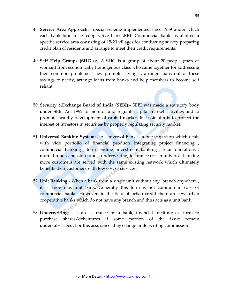- 48. **Service Area Approach:** Special scheme implemented since 1989 under which each bank branch i.e. cooperative bank ,RRB Commercial bank is allotted a specific service area consisting of 15-20 villages for conducting survey preparing credit plan of residents and arrange to meet their credit requirements.
- 49. **Self Help Groups (SHG's):** A SHG is a group of about 20 people (man or woman) from economically homogenous class who came together for addressing their common problems. They promote savings , arrange loans out of these savings to needy, arrange loans from banks and help members to become self reliant.
- 50. **Security &Exchange Board of India (SEBI):-** SEBI was made a statutory body under SEBI Act 1992 to monitor and regulate capital market activities and to promote healthy development of capital market. Its basic aim is to protect the interest of investors in securities by properly regulating security market.
- 51. **Universal Banking System:** A Universal Bank is a one stop shop which deals with vide portfolio of financial products integrating project financing, commercial banking , term lending, investment banking , retail operations , mutual funds , pension funds, underwriting, insurance etc. In universal banking more customers are served with the same existing network which ultimately benefits their customers with low cost of services.
- 52. **Unit Banking:** When a bank from a single unit without any branch anywhere , it is known as unit bank. Generally this term is not common in case of commercial banks. However, in the field of urban credit there are few urban cooperative banks which do not have any branch and thus acts as a unit bank.
- 53. **Underwriting: -** is an assurance by a bank, financial institution a form to purchase shares/debentures if some portion of the issue remain undersubscribed. For this assurance, they change underwriting commission.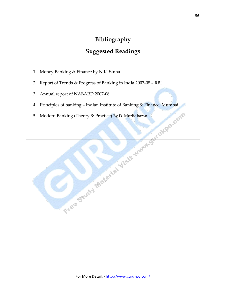## **Bibliography**

## **Suggested Readings**

- 1. Money Banking & Finance by N.K. Sinha
- 2. Report of Trends & Progress of Banking in India 2007-08 RBI
- 3. Annual report of NABARD 2007-08
- 
- 5. Modern Banking (Theory & Practice) By D. Murlidharan

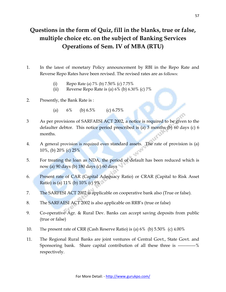# **Questions in the form of Quiz, fill in the blanks, true or false, multiple choice etc. on the subject of Banking Services Operations of Sem. IV of MBA (RTU)**

- 1. In the latest of monetary Policy announcement by RBI in the Repo Rate and Reverse Repo Rates have been revised. The revised rates are as follows:
	- (i) Repo Rate (a)  $7\%$  (b)  $7.50\%$  (c)  $7.75\%$
	- (ii) Reverse Repo Rate is (a)  $6\%$  (b)  $6.30\%$  (c)  $7\%$
- 2. Presently, the Bank Rate is :
	- (a)  $6\%$  (b)  $6.5\%$  (c)  $6.75\%$
- 3 As per provisions of SARFAESI ACT 2002, a notice is required to be given to the defaulter debtor. This notice period prescribed is (a) 3 months (b) 60 days (c) 6 months.
- 4. A general provision is required even standard assets. The rate of provision is (a) 10%, (b) 20% (c) 25%
- 5. For treating the loan as NDA, the period of default has been reduced which is now (a) 90 days (b) 180 days (c) 60 days
- 6. Present rate of CAR (Capital Adequacy Ratio) or CRAR (Capital to Risk Asset Ratio) is (a) 11% (b) 10% (c) 9%
- 7. The SARFESI ACT 2002 is applicable on cooperative bank also (True or false).
- 8. The SARFAESI ACT 2002 is also applicable on RRB"s (true or false)
- 9. Co-operative Agr. & Rural Dev. Banks can accept saving deposits from public (true or false)
- 10. The present rate of CRR (Cash Reserve Ratio) is (a) 6% (b) 5.50% (c) 4.00%
- 11. The Regional Rural Banks are joint ventures of Central Govt., State Govt. and Sponsoring bank. Share capital contribution of all these three is ------------% respectively.